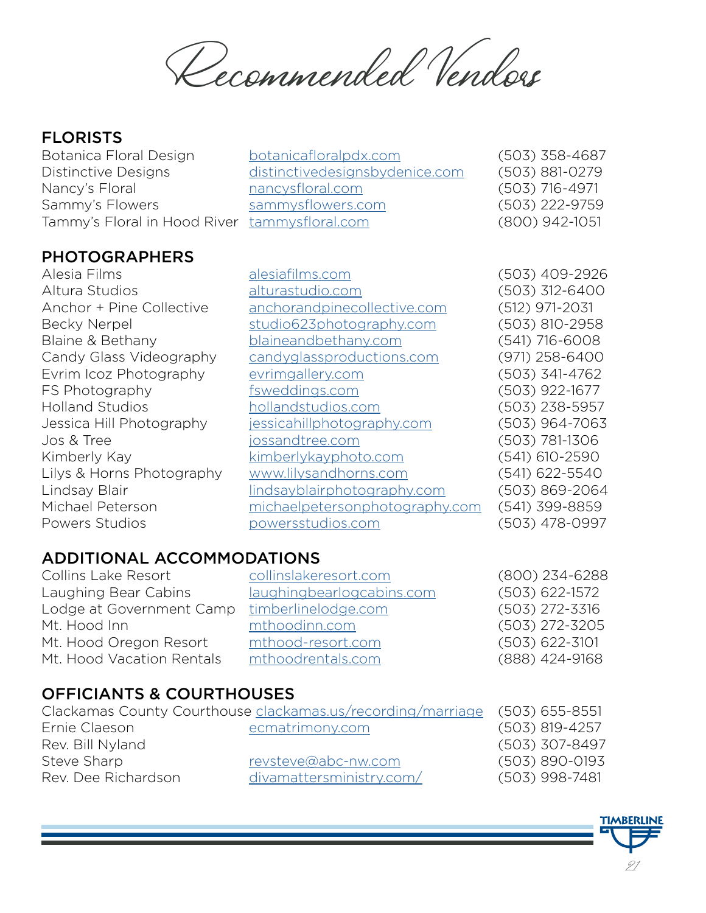Recommended Vendors

#### **FLORISTS**

#### PHOTOGRAPHERS

Botanica Floral Design [botanicafloralpdx.com](http://botanicafloralpdx.com) (503) 358-4687 Distinctive Designs d[istinctivedesignsbydenice.com](http://DistinctiveDesignsByDenice.com) (503) 881-0279 Nancy's Floral **nancysfloral.com** (503) 716-4971 Sammy's Flowers [sammysflowers.com](http://sammysflowers.com) (503) 222-9759 Tammy's Floral in Hood River t[ammysfloral.com](http://TammysFloral.com) (800) 942-1051

Alesia Films [alesiafilms.com](http://alesiafilms.com) (503) 409-2926 Altura Studios [alturastudio.com](http://alturastudio.com) (503) 312-6400 Anchor + Pine Collective [anchorandpinecollective.com](http://anchorandpinecollective.com) (512) 971-2031 Becky Nerpel [studio623photography.com](http://studio623photography.com) (503) 810-2958 Blaine & Bethany [blaineandbethany.com](http://blaineandbethany.com) (541) 716-6008 Candy Glass Videography [candyglassproductions.com](http://candyglassproductions.com) (971) 258-6400 Evrim Icoz Photography [evrimgallery.com](http://evrimgallery.com) (503) 341-4762 FS Photography [fsweddings.com](http://fsweddings.com) (503) 922-1677 Holland Studios [hollandstudios.com](http://hollandstudios.com) (503) 238-5957 Jessica Hill Photography [jessicahillphotography.com](http://jessicahillphotography.com) (503) 964-7063 Jos & Tree [jossandtree.com](https://www.josandtree.com/timberline-weddings/) (503) 781-1306 Kimberly Kay [kimberlykayphoto.com](http://kimberlykayphoto.com) (541) 610-2590 Lilys & Horns Photography [www.lilysandhorns.com](http://www.lilysandhorns.com) (541) 622-5540 Lindsay Blair [lindsayblairphotography.com](http://lindsayblairphotography.com) (503) 869-2064 Michael Peterson [michaelpetersonphotography.com](http://michaelpetersonphotography.com) (541) 399-8859 Powers Studios [powersstudios.com](http://powersstudios.com) (503) 478-0997

# ADDITIONAL ACCOMMODATIONS

Collins Lake Resort [collinslakeresort.com](http://collinslakeresort.com) (800) 234-6288 Laughing Bear Cabins [laughingbearlogcabins.com](http://laughingbearlogcabins.com) (503) 622-1572 Lodge at Government Camp [timberlinelodge.com](https://www.timberlinelodge.com/lodge/luxury-condominiums) (503) 272-3316 Mt. Hood Inn [mthoodinn.com](http://mthoodinn.com) (503) 272-3205 Mt. Hood Oregon Resort [mthood-resort.com](http://mthood-resort.com) (503) 622-3101 Mt. Hood Vacation Rentals [mthoodrentals.com](http://mthoodrentals.com) (888) 424-9168

# OFFICIANTS & COURTHOUSES

|                     | Clackamas County Courthouse clackamas.us/recording/marriage | $(503)$ 655-8551   |
|---------------------|-------------------------------------------------------------|--------------------|
| Ernie Claeson       | ecmatrimony.com                                             | $(503)$ 819-4257   |
| Rev. Bill Nyland    |                                                             | (503) 307-8497     |
| Steve Sharp         | revsteve@abc-nw.com                                         | $(503) 890 - 0193$ |
| Rev. Dee Richardson | divamattersministry.com/                                    | $(503)$ 998-7481   |

**TIMBERLINE** 21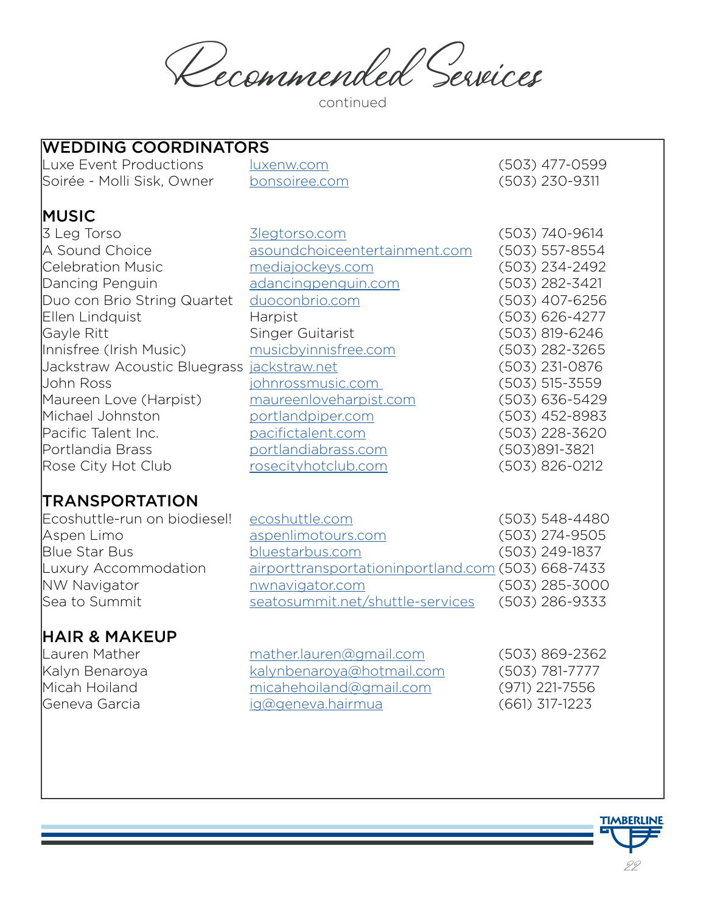Recommended Services

continued

| WEDDING COORDINATORS                          |                    |
|-----------------------------------------------|--------------------|
| <u>luxenw.com</u>                             | $(503)$ 477-0599   |
| bonsoiree.com                                 | $(503)$ 230-9311   |
|                                               |                    |
| 3legtorso.com                                 | $(503) 740 - 9614$ |
| asoundchoiceentertainment.com                 | $(503) 557 - 8554$ |
| mediajockeys.com                              | (503) 234-2492     |
| adancingpenguin.com                           | $(503)$ 282-3421   |
| duoconbrio.com                                | (503) 407-6256     |
| Harpist                                       | $(503) 626 - 4277$ |
| Singer Guitarist                              | $(503)$ 819-6246   |
| musicbyinnisfree.com                          | $(503)$ 282-3265   |
| Jackstraw Acoustic Bluegrass<br>jackstraw.net | $(503)$ 231-0876   |
| <u>johnrossmusic.com</u>                      | $(503)$ 515-3559   |
| maureenloveharpist.com                        | $(503) 636 - 5429$ |
| portlandpiper.com                             | (503) 452-8983     |
| pacifictalent.com                             | (503) 228-3620     |
| portlandiabrass.com                           | (503)891-3821      |
| rosecityhotclub.com                           | $(503)$ 826-0212   |
|                                               |                    |
|                                               |                    |

#### **IRANSPORTATION**

WEDDING COORDINATORS

| ecoshuttle.com                                     | $(503) 548 - 4480$ |
|----------------------------------------------------|--------------------|
| aspenlimotours.com                                 | $(503)$ 274-9505   |
| bluestarbus.com                                    | $(503)$ 249-1837   |
| airporttransportationinportland.com (503) 668-7433 |                    |
| nwnavigator.com                                    | $(503)$ 285-3000   |
| seatosummit.net/shuttle-services                   | $(503)$ 286-9333   |
|                                                    |                    |

# **HAIR & MAKEUP**<br>Lauren Mather

Lauren Mather <u>mather.lauren@gmail.com</u> (503) 869-2362<br>|Kalyn Benaroya <u>kalynbenaroya@hotmail.com</u> (503) 781-7777 [kalynbenaroya@hotmail.com](mailto:KalynBenaroya@hotmail.com) (503) 781-7777 Micah Hoiland [micahehoiland@gmail.com](mailto:micahehoiland@gmail.com) (971) 221-7556 Geneva Garcia [ig@geneva.hairmua](mailto:ig@geneva.hairmua) (661) 317-1223